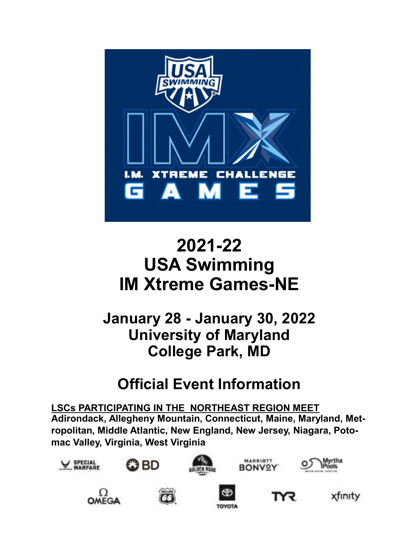

# **2021-22 USA Swimming IM Xtreme Games-NE**

**January 28 - January 30, 2022 University of Maryland College Park, MD**

## **Official Event Information**

**LSCs PARTICIPATING IN THE NORTHEAST REGION MEET Adirondack, Allegheny Mountain, Connecticut, Maine, Maryland, Metropolitan, Middle Atlantic, New England, New Jersey, Niagara, Potomac Valley, Virginia, West Virginia**

















**TOYOTA** 



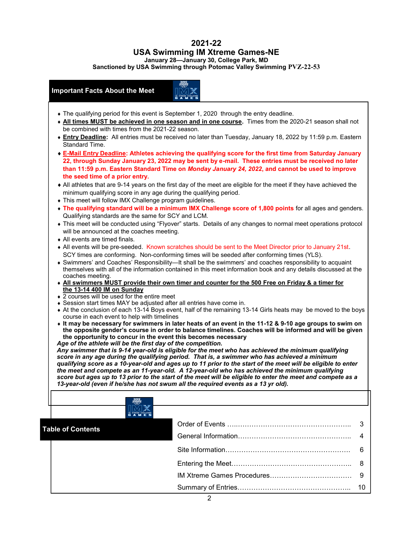## **2021-22 USA Swimming IM Xtreme Games-NE**

**January 28—January 30, College Park, MD**

**Sanctioned by USA Swimming through Potomac Valley Swimming PVZ-22-53**

## **Important Facts About the Meet**

- The qualifying period for this event is September 1, 2020 through the entry deadline.
- **All times MUST be achieved in one season and in one course.** Times from the 2020-21 season shall not be combined with times from the 2021-22 season.
- **Entry Deadline:** All entries must be received no later than Tuesday, January 18, 2022 by 11:59 p.m. Eastern Standard Time.
- **E-Mail Entry Deadline: Athletes achieving the qualifying score for the first time from Saturday January 22, through Sunday January 23, 2022 may be sent by e-mail. These entries must be received no later than 11:59 p.m. Eastern Standard Time on** *Monday January 24, 2022***, and cannot be used to improve the seed time of a prior entry.**
- All athletes that are 9-14 years on the first day of the meet are eligible for the meet if they have achieved the minimum qualifying score in any age during the qualifying period.
- This meet will follow IMX Challenge program guidelines.
- **The qualifying standard will be a minimum IMX Challenge score of 1,800 points for all ages and genders.** Qualifying standards are the same for SCY and LCM.
- This meet will be conducted using "Flyover" starts. Details of any changes to normal meet operations protocol will be announced at the coaches meeting.
- All events are timed finals.
- All events will be pre-seeded. Known scratches should be sent to the Meet Director prior to January 21st. SCY times are conforming. Non-conforming times will be seeded after conforming times (YLS).
- Swimmers' and Coaches' Responsibility—It shall be the swimmers' and coaches responsibility to acquaint themselves with all of the information contained in this meet information book and any details discussed at the coaches meeting.
- **All swimmers MUST provide their own timer and counter for the 500 Free on Friday & a timer for the 13-14 400 IM on Sunday**
- ◆ 2 courses will be used for the entire meet
- Session start times MAY be adjusted after all entries have come in.
- At the conclusion of each 13-14 Boys event, half of the remaining 13-14 Girls heats may be moved to the boys course in each event to help with timelines
- **It may be necessary for swimmers in later heats of an event in the 11-12 & 9-10 age groups to swim on the opposite gender's course in order to balance timelines. Coaches will be informed and will be given the opportunity to concur in the event this becomes necessary**
- *Age of the athlete will be the first day of the competition.*

*Any swimmer that is 9-14 year-old is eligible for the meet who has achieved the minimum qualifying score in any age during the qualifying period. That is, a swimmer who has achieved a minimum qualifying score as a 10-year-old and ages up to 11 prior to the start of the meet will be eligible to enter the meet and compete as an 11-year-old. A 12-year-old who has achieved the minimum qualifying score but ages up to 13 prior to the start of the meet will be eligible to enter the meet and compete as a 13-year-old (even if he/she has not swum all the required events as a 13 yr old).*

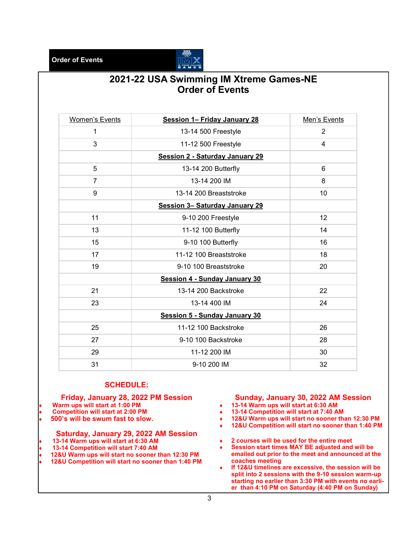**Order of Events**



## **2021-22 USA Swimming IM Xtreme Games-NE Order of Events**

| <b>Women's Events</b> | <b>Session 1- Friday January 28</b>    | Men's Events   |
|-----------------------|----------------------------------------|----------------|
| 1                     | 13-14 500 Freestyle                    | 2              |
| 3                     | 11-12 500 Freestyle                    | $\overline{4}$ |
|                       | <b>Session 2 - Saturday January 29</b> |                |
| 5                     | 13-14 200 Butterfly                    | 6              |
| $\overline{7}$        | 13-14 200 IM                           | 8              |
| 9                     | 13-14 200 Breaststroke                 | 10             |
|                       | <b>Session 3- Saturday January 29</b>  |                |
| 11                    | 9-10 200 Freestyle                     | 12             |
| 13                    | 11-12 100 Butterfly                    | 14             |
| 15                    | 9-10 100 Butterfly                     | 16             |
| 17                    | 11-12 100 Breaststroke                 | 18             |
| 19                    | 9-10 100 Breaststroke                  | 20             |
|                       | <b>Session 4 - Sunday January 30</b>   |                |
| 21                    | 13-14 200 Backstroke                   | 22             |
| 23                    | 13-14 400 IM                           | 24             |
|                       | <b>Session 5 - Sunday January 30</b>   |                |
| 25                    | 11-12 100 Backstroke                   | 26             |
| 27                    | 9-10 100 Backstroke                    | 28             |
| 29                    | 11-12 200 IM                           | 30             |
| 31                    | 9-10 200 IM                            | 32             |

### **SCHEDULE:**

#### **Friday, January 28, 2022 PM Session**

- **Warm ups will start at 1:00 PM**
- **Competition will start at 2:00 PM**
- **500's will be swum fast to slow.**

#### **Saturday, January 29, 2022 AM Session**

- **13-14 Warm ups will start at 6:30 AM**
- **13-14 Competition will start 7:40 AM**
- **12&U Warm ups will start no sooner than 12:30 PM**
- **12&U Competition will start no sooner than 1:40 PM**

#### **Sunday, January 30, 2022 AM Session 13-14 Warm ups will start at 6:30 AM**

- **13-14 Competition will start at 7:40 AM**
- **12&U Warm ups will start no sooner than 12:30 PM**
- **12&U Competition will start no sooner than 1:40 PM**
- **2 courses will be used for the entire meet**
- **Session start times MAY BE adjusted and will be emailed out prior to the meet and announced at the coaches meeting**
- **If 12&U timelines are excessive, the session will be split into 2 sessions with the 9-10 session warm-up starting no earlier than 3:30 PM with events no earlier than 4:10 PM on Saturday (4:40 PM on Sunday)**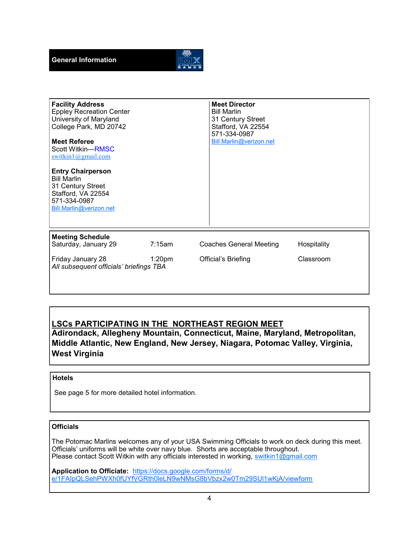

**Facility Address** Eppley Recreation Center University of Maryland College Park, MD 20742 **Meet Referee** Scott Witkin—RMSC [switkin1@gmail.com](mailto:switkin1@gmail.com?subject=2020%20IMX%20Games) **Entry Chairperson** Bill Marlin 31 Century Street Stafford, VA 22554 571-334-0987 [Bill.Marlin@verizon.net](mailto:Bill.Marlin@verizon.net?subject=2020%20IMX%20Games) **Meet Director** Bill Marlin 31 Century Street Stafford, VA 22554 571-334-0987 [Bill.Marlin@verizon.net](mailto:Bill.Marlin@verizon.net?subject=2020%20IMX%20Games) **Meeting Schedule** 7:15am Coaches General Meeting Hospitality Friday January 28 **1:20pm** Official's Briefing Classroom *All subsequent officials' briefings TBA*

## **LSCs PARTICIPATING IN THE NORTHEAST REGION MEET**

**Adirondack, Allegheny Mountain, Connecticut, Maine, Maryland, Metropolitan, Middle Atlantic, New England, New Jersey, Niagara, Potomac Valley, Virginia, West Virginia**

### **Hotels**

See page 5 for more detailed hotel information.

#### **Officials**

The Potomac Marlins welcomes any of your USA Swimming Officials to work on deck during this meet. Officials' uniforms will be white over navy blue. Shorts are acceptable throughout. Please contact Scott Witkin with any officials interested in working, [switkin1@gmail.com](mailto:switkin1@gmail.com?subject=2020%20IMX%20Games)

**Application to Officiate:** [https://docs.google.com/forms/d/](https://docs.google.com/forms/d/e/1FAIpQLSehPWXh0fUYfVGRth0leLN9wNMsG8bVbzx2w0Tm29SUl1wKjA/viewform) [e/1FAIpQLSehPWXh0fUYfVGRth0leLN9wNMsG8bVbzx2w0Tm29SUl1wKjA/viewform](https://docs.google.com/forms/d/e/1FAIpQLSehPWXh0fUYfVGRth0leLN9wNMsG8bVbzx2w0Tm29SUl1wKjA/viewform)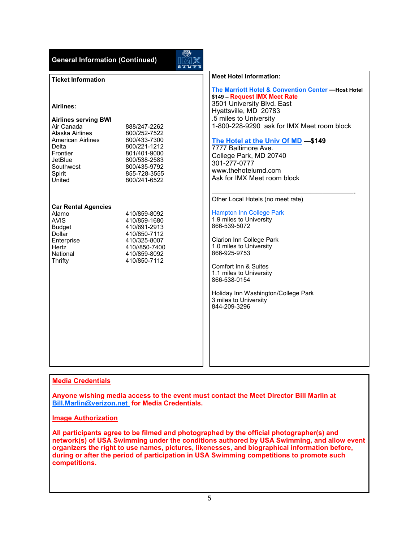| <b>General Information (Continued)</b>                                                                                                                                                                                                                                                                                 | <b>REDES</b>                                                                                                                                                                                                                                                                                                                                                                    |
|------------------------------------------------------------------------------------------------------------------------------------------------------------------------------------------------------------------------------------------------------------------------------------------------------------------------|---------------------------------------------------------------------------------------------------------------------------------------------------------------------------------------------------------------------------------------------------------------------------------------------------------------------------------------------------------------------------------|
| <b>Ticket Information</b>                                                                                                                                                                                                                                                                                              | <b>Meet Hotel Information:</b>                                                                                                                                                                                                                                                                                                                                                  |
| Airlines:<br><b>Airlines serving BWI</b><br>Air Canada<br>888/247-2262<br>Alaska Airlines<br>800/252-7522<br><b>American Airlines</b><br>800/433-7300<br>Delta<br>800/221-1212<br>Frontier<br>801/401-9000<br>JetBlue<br>800/538-2583<br>Southwest<br>800/435-9792<br>855-728-3555<br>Spirit<br>800/241-6522<br>United | The Marriott Hotel & Convention Center -Host Hotel<br>\$149 - Request IMX Meet Rate<br>3501 University Blvd. East<br>Hyattsville, MD 20783<br>.5 miles to University<br>1-800-228-9290 ask for IMX Meet room block<br>The Hotel at the Univ Of MD -\$149<br>7777 Baltimore Ave.<br>College Park, MD 20740<br>301-277-0777<br>www.thehotelumd.com<br>Ask for IMX Meet room block |
| <b>Car Rental Agencies</b><br>Alamo<br>410/859-8092<br><b>AVIS</b><br>410/859-1680<br><b>Budget</b><br>410/691-2913<br>Dollar<br>410/850-7112<br>410/325-8007<br>Enterprise<br>Hertz<br>410//850-7400<br>National<br>410/859-8092<br>410/850-7112<br>Thrifty                                                           | Other Local Hotels (no meet rate)<br><b>Hampton Inn College Park</b><br>1.9 miles to University<br>866-539-5072<br><b>Clarion Inn College Park</b><br>1.0 miles to University<br>866-925-9753<br>Comfort Inn & Suites<br>1.1 miles to University<br>866-538-0154<br>Holiday Inn Washington/College Park<br>3 miles to University<br>844-209-3296                                |

### **Media Credentials**

**Anyone wishing media access to the event must contact the Meet Director Bill Marlin at [Bill.Marlin@verizon.net](mailto:Bill.Marlin@verizon.net?subject=2020%20IMX%20Games%20Media) for Media Credentials.** 

#### **Image Authorization**

**All participants agree to be filmed and photographed by the official photographer(s) and network(s) of USA Swimming under the conditions authored by USA Swimming, and allow event organizers the right to use names, pictures, likenesses, and biographical information before, during or after the period of participation in USA Swimming competitions to promote such competitions.**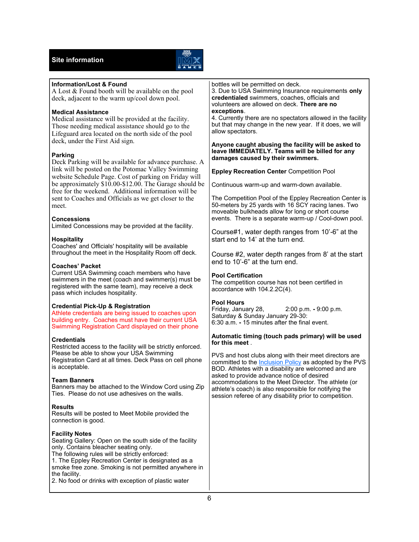## **Site information**



| <b>Information/Lost &amp; Found</b><br>A Lost & Found booth will be available on the pool<br>deck, adjacent to the warm up/cool down pool.<br><b>Medical Assistance</b><br>Medical assistance will be provided at the facility.<br>Those needing medical assistance should go to the<br>Lifeguard area located on the north side of the pool<br>deck, under the First Aid sign.<br><b>Parking</b><br>Deck Parking will be available for advance purchase. A<br>link will be posted on the Potomac Valley Swimming<br>website Schedule Page. Cost of parking on Friday will<br>be approximately \$10.00-\$12.00. The Garage should be<br>free for the weekend. Additional information will be<br>sent to Coaches and Officials as we get closer to the<br>meet.<br><b>Concessions</b><br>Limited Concessions may be provided at the facility. | bottles will be permitted on deck.<br>3. Due to USA Swimming Insurance requirements only<br>credentialed swimmers, coaches, officials and<br>volunteers are allowed on deck. There are no<br>exceptions.<br>4. Currently there are no spectators allowed in the facility<br>but that may change in the new year. If it does, we will<br>allow spectators.<br>Anyone caught abusing the facility will be asked to<br>leave IMMEDIATELY. Teams will be billed for any<br>damages caused by their swimmers.<br><b>Eppley Recreation Center Competition Pool</b><br>Continuous warm-up and warm-down available.<br>The Competition Pool of the Eppley Recreation Center is<br>50-meters by 25 yards with 16 SCY racing lanes. Two<br>moveable bulkheads allow for long or short course<br>events. There is a separate warm-up / Cool-down pool. |
|----------------------------------------------------------------------------------------------------------------------------------------------------------------------------------------------------------------------------------------------------------------------------------------------------------------------------------------------------------------------------------------------------------------------------------------------------------------------------------------------------------------------------------------------------------------------------------------------------------------------------------------------------------------------------------------------------------------------------------------------------------------------------------------------------------------------------------------------|---------------------------------------------------------------------------------------------------------------------------------------------------------------------------------------------------------------------------------------------------------------------------------------------------------------------------------------------------------------------------------------------------------------------------------------------------------------------------------------------------------------------------------------------------------------------------------------------------------------------------------------------------------------------------------------------------------------------------------------------------------------------------------------------------------------------------------------------|
| <b>Hospitality</b><br>Coaches' and Officials' hospitality will be available<br>throughout the meet in the Hospitality Room off deck.<br><b>Coaches' Packet</b><br>Current USA Swimming coach members who have<br>swimmers in the meet (coach and swimmer(s) must be<br>registered with the same team), may receive a deck                                                                                                                                                                                                                                                                                                                                                                                                                                                                                                                    | Course#1, water depth ranges from 10'-6" at the<br>start end to 14' at the turn end.<br>Course #2, water depth ranges from 8' at the start<br>end to 10'-6" at the turn end.<br>Pool Certification<br>The competition course has not been certified in<br>accordance with 104.2.2C(4).                                                                                                                                                                                                                                                                                                                                                                                                                                                                                                                                                      |
| pass which includes hospitality.<br><b>Credential Pick-Up &amp; Registration</b><br>Athlete credentials are being issued to coaches upon<br>building entry. Coaches must have their current USA<br>Swimming Registration Card displayed on their phone                                                                                                                                                                                                                                                                                                                                                                                                                                                                                                                                                                                       | <b>Pool Hours</b><br>2:00 p.m. - 9:00 p.m.<br>Friday, January 28,<br>Saturday & Sunday January 29-30:<br>6:30 a.m. - 15 minutes after the final event.                                                                                                                                                                                                                                                                                                                                                                                                                                                                                                                                                                                                                                                                                      |
| <b>Credentials</b><br>Restricted access to the facility will be strictly enforced.<br>Please be able to show your USA Swimming<br>Registration Card at all times. Deck Pass on cell phone<br>is acceptable.<br><b>Team Banners</b><br>Banners may be attached to the Window Cord using Zip<br>Ties. Please do not use adhesives on the walls.                                                                                                                                                                                                                                                                                                                                                                                                                                                                                                | Automatic timing (touch pads primary) will be used<br>for this meet.<br>PVS and host clubs along with their meet directors are<br>committed to the <b>Inclusion Policy</b> as adopted by the PVS<br>BOD. Athletes with a disability are welcomed and are<br>asked to provide advance notice of desired<br>accommodations to the Meet Director. The athlete (or<br>athlete's coach) is also responsible for notifying the<br>session referee of any disability prior to competition.                                                                                                                                                                                                                                                                                                                                                         |
| <b>Results</b><br>Results will be posted to Meet Mobile provided the<br>connection is good.                                                                                                                                                                                                                                                                                                                                                                                                                                                                                                                                                                                                                                                                                                                                                  |                                                                                                                                                                                                                                                                                                                                                                                                                                                                                                                                                                                                                                                                                                                                                                                                                                             |
| <b>Facility Notes</b><br>Seating Gallery: Open on the south side of the facility<br>only. Contains bleacher seating only.<br>The following rules will be strictly enforced:<br>1. The Eppley Recreation Center is designated as a<br>smoke free zone. Smoking is not permitted anywhere in<br>the facility.<br>2. No food or drinks with exception of plastic water                                                                                                                                                                                                                                                                                                                                                                                                                                                                          |                                                                                                                                                                                                                                                                                                                                                                                                                                                                                                                                                                                                                                                                                                                                                                                                                                             |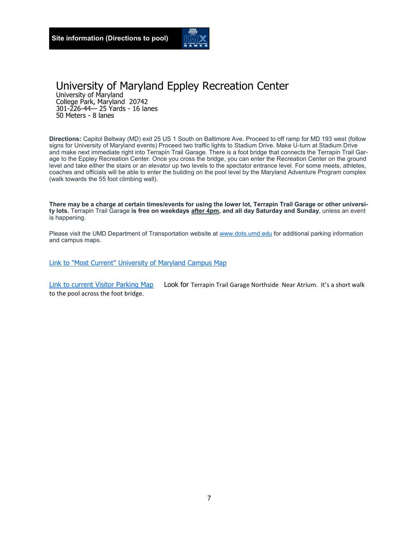

## University of Maryland Eppley Recreation Center

University of Maryland College Park, Maryland 20742 301-226-44— 25 Yards - 16 lanes 50 Meters - 8 lanes

**Directions:** Capitol Beltway (MD) exit 25 US 1 South on Baltimore Ave. Proceed to off ramp for MD 193 west (follow signs for University of Maryland events) Proceed two traffic lights to Stadium Drive. Make U-turn at Stadium Drive and make next immediate right into Terrapin Trail Garage. There is a foot bridge that connects the Terrapin Trail Garage to the Eppley Recreation Center. Once you cross the bridge, you can enter the Recreation Center on the ground level and take either the stairs or an elevator up two levels to the spectator entrance level. For some meets, athletes, coaches and officials will be able to enter the building on the pool level by the Maryland Adventure Program complex (walk towards the 55 foot climbing wall).

**There may be a charge at certain times/events for using the lower lot, Terrapin Trail Garage or other university lots.** Terrapin Trail Garage **is free on weekdays after 4pm, and all day Saturday and Sunday**, unless an event is happening.

Please visit the UMD Department of Transportation website at [www.dots.umd.edu](https://www.dots.umd.edu/maps&apps.html) for additional parking information and campus maps.

[Link to "Most Current" University of Maryland Campus Map](https://www.transportation.umd.edu/parking/maps/umd-campus-parking-map)

[Link to current Visitor Parking Map](https://www.transportation.umd.edu/parking/maps/visitor-parking-map) Look for Terrapin Trail Garage Northside Near Atrium. It's a short walk to the pool across the foot bridge.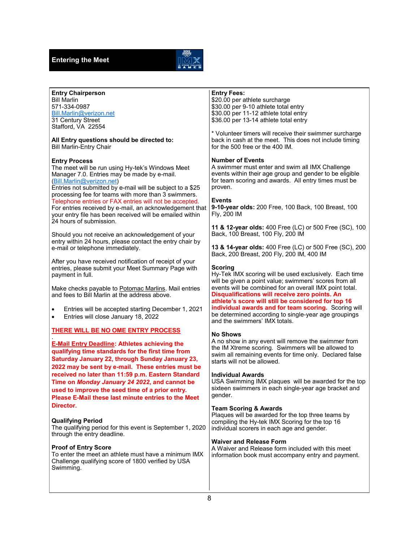

| <b>Entry Chairperson</b><br><b>Bill Marlin</b><br>571-334-0987<br>Bill.Marlin@verizon.net<br>31 Century Street<br>Stafford, VA 22554<br>All Entry questions should be directed to:<br><b>Bill Marlin-Entry Chair</b><br><b>Entry Process</b><br>The meet will be run using Hy-tek's Windows Meet<br>Manager 7.0. Entries may be made by e-mail.<br>(Bill.Marlin@verizon.net)<br>Entries not submitted by e-mail will be subject to a \$25<br>processing fee for teams with more than 3 swimmers.<br>Telephone entries or FAX entries will not be accepted.<br>For entries received by e-mail, an acknowledgement that<br>your entry file has been received will be emailed within<br>24 hours of submission.<br>Should you not receive an acknowledgement of your<br>entry within 24 hours, please contact the entry chair by<br>e-mail or telephone immediately.<br>After you have received notification of receipt of your<br>entries, please submit your Meet Summary Page with<br>payment in full.<br>Make checks payable to Potomac Marlins. Mail entries<br>and fees to Bill Marlin at the address above.<br>Entries will be accepted starting December 1, 2021<br>$\bullet$<br>Entries will close January 18, 2022<br>$\bullet$<br><b>THERE WILL BE NO OME ENTRY PROCESS</b><br><b>E-Mail Entry Deadline: Athletes achieving the</b><br>qualifying time standards for the first time from<br>Saturday January 22, through Sunday January 23,<br>2022 may be sent by e-mail. These entries must be<br>received no later than 11:59 p.m. Eastern Standard<br>Time on Monday January 24 2022, and cannot be<br>used to improve the seed time of a prior entry.<br>Please E-Mail these last minute entries to the Meet<br>Director.<br><b>Qualifying Period</b><br>The qualifying period for this event is September 1, 2020<br>through the entry deadline.<br><b>Proof of Entry Score</b><br>To enter the meet an athlete must have a minimum IMX<br>Challenge qualifying score of 1800 verified by USA | <b>Entry Fees:</b><br>\$20.00 per athlete surcharge<br>\$30.00 per 9-10 athlete total entry<br>\$30.00 per 11-12 athlete total entry<br>\$36.00 per 13-14 athlete total entry<br>* Volunteer timers will receive their swimmer surcharge<br>back in cash at the meet. This does not include timing<br>for the 500 free or the 400 IM.<br><b>Number of Events</b><br>A swimmer must enter and swim all IMX Challenge<br>events within their age group and gender to be eligible<br>for team scoring and awards. All entry times must be<br>proven.<br><b>Events</b><br>9-10-year olds: 200 Free, 100 Back, 100 Breast, 100<br>Fly, 200 IM<br>11 & 12-year olds: 400 Free (LC) or 500 Free (SC), 100<br>Back, 100 Breast, 100 Fly, 200 IM<br><b>13 &amp; 14-year olds: 400 Free (LC) or 500 Free (SC), 200</b><br>Back, 200 Breast, 200 Fly, 200 IM, 400 IM<br><b>Scoring</b><br>Hy-Tek IMX scoring will be used exclusively. Each time<br>will be given a point value; swimmers' scores from all<br>events will be combined for an overall IMX point total.<br>Disqualifications will receive zero points. An<br>athlete's score will still be considered for top 16<br>individual awards and for team scoring. Scoring will<br>be determined according to single-year age groupings<br>and the swimmers' IMX totals.<br><b>No Shows</b><br>A no show in any event will remove the swimmer from<br>the IM Xtreme scoring. Swimmers will be allowed to<br>swim all remaining events for time only. Declared false<br>starts will not be allowed.<br><b>Individual Awards</b><br>USA Swimming IMX plaques will be awarded for the top<br>sixteen swimmers in each single-year age bracket and<br>gender.<br><b>Team Scoring &amp; Awards</b><br>Plaques will be awarded for the top three teams by<br>compiling the Hy-tek IMX Scoring for the top 16<br>individual scorers in each age and gender.<br><b>Waiver and Release Form</b><br>A Waiver and Release form included with this meet<br>information book must accompany entry and payment. |
|-------------------------------------------------------------------------------------------------------------------------------------------------------------------------------------------------------------------------------------------------------------------------------------------------------------------------------------------------------------------------------------------------------------------------------------------------------------------------------------------------------------------------------------------------------------------------------------------------------------------------------------------------------------------------------------------------------------------------------------------------------------------------------------------------------------------------------------------------------------------------------------------------------------------------------------------------------------------------------------------------------------------------------------------------------------------------------------------------------------------------------------------------------------------------------------------------------------------------------------------------------------------------------------------------------------------------------------------------------------------------------------------------------------------------------------------------------------------------------------------------------------------------------------------------------------------------------------------------------------------------------------------------------------------------------------------------------------------------------------------------------------------------------------------------------------------------------------------------------------------------------------------------------------------------------------------------------------------------------------------------------------|-----------------------------------------------------------------------------------------------------------------------------------------------------------------------------------------------------------------------------------------------------------------------------------------------------------------------------------------------------------------------------------------------------------------------------------------------------------------------------------------------------------------------------------------------------------------------------------------------------------------------------------------------------------------------------------------------------------------------------------------------------------------------------------------------------------------------------------------------------------------------------------------------------------------------------------------------------------------------------------------------------------------------------------------------------------------------------------------------------------------------------------------------------------------------------------------------------------------------------------------------------------------------------------------------------------------------------------------------------------------------------------------------------------------------------------------------------------------------------------------------------------------------------------------------------------------------------------------------------------------------------------------------------------------------------------------------------------------------------------------------------------------------------------------------------------------------------------------------------------------------------------------------------------------------------------------------------------------------------------------------------------------------------------------------|
| Swimming.                                                                                                                                                                                                                                                                                                                                                                                                                                                                                                                                                                                                                                                                                                                                                                                                                                                                                                                                                                                                                                                                                                                                                                                                                                                                                                                                                                                                                                                                                                                                                                                                                                                                                                                                                                                                                                                                                                                                                                                                   |                                                                                                                                                                                                                                                                                                                                                                                                                                                                                                                                                                                                                                                                                                                                                                                                                                                                                                                                                                                                                                                                                                                                                                                                                                                                                                                                                                                                                                                                                                                                                                                                                                                                                                                                                                                                                                                                                                                                                                                                                                               |
|                                                                                                                                                                                                                                                                                                                                                                                                                                                                                                                                                                                                                                                                                                                                                                                                                                                                                                                                                                                                                                                                                                                                                                                                                                                                                                                                                                                                                                                                                                                                                                                                                                                                                                                                                                                                                                                                                                                                                                                                             |                                                                                                                                                                                                                                                                                                                                                                                                                                                                                                                                                                                                                                                                                                                                                                                                                                                                                                                                                                                                                                                                                                                                                                                                                                                                                                                                                                                                                                                                                                                                                                                                                                                                                                                                                                                                                                                                                                                                                                                                                                               |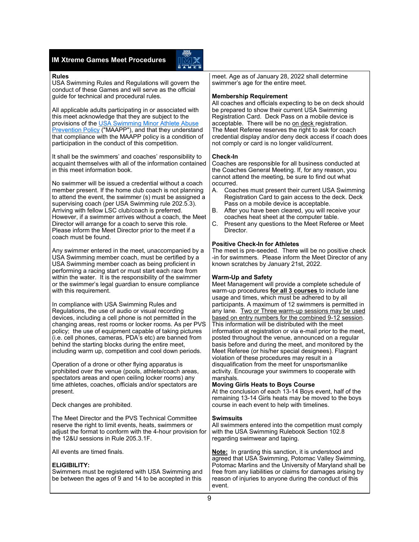#### **IM Xtreme Games Meet Procedures**



#### **Rules**

USA Swimming Rules and Regulations will govern the conduct of these Games and will serve as the official guide for technical and procedural rules.

All applicable adults participating in or associated with this meet acknowledge that they are subject to the provisions of the [USA Swimming Minor Athlete Abuse](https://www.usaswimming.org/utility/landing-pages/minor-athlete-abuse-prevention-policy)  [Prevention Policy](https://www.usaswimming.org/utility/landing-pages/minor-athlete-abuse-prevention-policy) ("MAAPP"), and that they understand that compliance with the MAAPP policy is a condition of participation in the conduct of this competition.

It shall be the swimmers' and coaches' responsibility to acquaint themselves with all of the information contained in this meet information book.

No swimmer will be issued a credential without a coach member present. If the home club coach is not planning to attend the event, the swimmer (s) must be assigned a supervising coach (per USA Swimming rule 202.5.3). Arriving with fellow LSC club/coach is preferred. However, if a swimmer arrives without a coach, the Meet Director will arrange for a coach to serve this role. Please inform the Meet Director prior to the meet if a coach must be found.

Any swimmer entered in the meet, unaccompanied by a USA Swimming member coach, must be certified by a USA Swimming member coach as being proficient in performing a racing start or must start each race from within the water. It is the responsibility of the swimmer or the swimmer's legal guardian to ensure compliance with this requirement.

In compliance with USA Swimming Rules and Regulations, the use of audio or visual recording devices, including a cell phone is not permitted in the changing areas, rest rooms or locker rooms. As per PVS policy; the use of equipment capable of taking pictures (i.e. cell phones, cameras, PDA's etc) are banned from behind the starting blocks during the entire meet, including warm up, competition and cool down periods.

Operation of a drone or other flying apparatus is prohibited over the venue (pools, athlete/coach areas, spectators areas and open ceiling locker rooms) any time athletes, coaches, officials and/or spectators are present.

Deck changes are prohibited.

The Meet Director and the PVS Technical Committee reserve the right to limit events, heats, swimmers or adjust the format to conform with the 4-hour provision for the 12&U sessions in Rule 205.3.1F.

All events are timed finals.

#### **ELIGIBILITY:**

Swimmers must be registered with USA Swimming and be between the ages of 9 and 14 to be accepted in this

meet. Age as of January 28, 2022 shall determine swimmer's age for the entire meet.

#### **Membership Requirement**

All coaches and officials expecting to be on deck should be prepared to show their current USA Swimming Registration Card. Deck Pass on a mobile device is acceptable. There will be no on deck registration. The Meet Referee reserves the right to ask for coach credential display and/or deny deck access if coach does not comply or card is no longer valid/current.

#### **Check-In**

Coaches are responsible for all business conducted at the Coaches General Meeting. If, for any reason, you cannot attend the meeting, be sure to find out what occurred.

- A. Coaches must present their current USA Swimming Registration Card to gain access to the deck. Deck Pass on a mobile device is acceptable.
- B. After you have been cleared, you will receive your coaches heat sheet at the computer table.
- C. Present any questions to the Meet Referee or Meet Director.

#### **Positive Check-In for Athletes**

The meet is pre-seeded. There will be no positive check -in for swimmers. Please inform the Meet Director of any known scratches by January 21st, 2022.

#### **Warm-Up and Safety**

Meet Management will provide a complete schedule of warm-up procedures **for all 3 courses** to include lane usage and times, which must be adhered to by all participants. A maximum of 12 swimmers is permitted in any lane. Two or Three warm-up sessions may be used based on entry numbers for the combined 9-12 session. This information will be distributed with the meet information at registration or via e-mail prior to the meet, posted throughout the venue, announced on a regular basis before and during the meet, and monitored by the Meet Referee (or his/her special designees). Flagrant violation of these procedures may result in a disqualification from the meet for unsportsmanlike activity. Encourage your swimmers to cooperate with marshals.

#### **Moving Girls Heats to Boys Course**

At the conclusion of each 13-14 Boys event, half of the remaining 13-14 Girls heats may be moved to the boys course in each event to help with timelines.

#### **Swimsuits**

All swimmers entered into the competition must comply with the USA Swimming Rulebook Section 102.8 regarding swimwear and taping.

**Note:** In granting this sanction, it is understood and agreed that USA Swimming, Potomac Valley Swimming, Potomac Marlins and the University of Maryland shall be free from any liabilities or claims for damages arising by reason of injuries to anyone during the conduct of this event.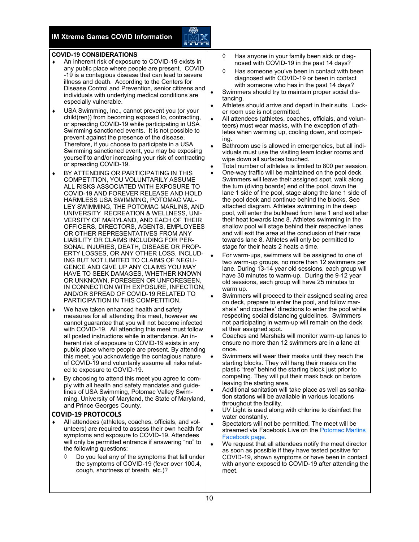

#### **COVID-19 CONSIDERATIONS**

- An inherent risk of exposure to COVID-19 exists in any public place where people are present. COVID -19 is a contagious disease that can lead to severe illness and death. According to the Centers for Disease Control and Prevention, senior citizens and individuals with underlying medical conditions are especially vulnerable.
- USA Swimming, Inc., cannot prevent you (or your child(ren)) from becoming exposed to, contracting, or spreading COVID-19 while participating in USA Swimming sanctioned events. It is not possible to prevent against the presence of the disease. Therefore, if you choose to participate in a USA Swimming sanctioned event, you may be exposing yourself to and/or increasing your risk of contracting or spreading COVID-19.
- BY ATTENDING OR PARTICIPATING IN THIS COMPETITION, YOU VOLUNTARILY ASSUME ALL RISKS ASSOCIATED WITH EXPOSURE TO COVID-19 AND FOREVER RELEASE AND HOLD HARMLESS USA SWIMMING, POTOMAC VAL-LEY SWIMMING, THE POTOMAC MARLINS, AND UNIVERSITY RECREATION & WELLNESS, UNI-VERSITY OF MARYLAND, AND EACH OF THEIR OFFICERS, DIRECTORS, AGENTS, EMPLOYEES OR OTHER REPRESENTATIVES FROM ANY LIABILITY OR CLAIMS INCLUDING FOR PER-SONAL INJURIES, DEATH, DISEASE OR PROP-ERTY LOSSES, OR ANY OTHER LOSS, INCLUD-ING BUT NOT LIMITED TO CLAIMS OF NEGLI-GENCE AND GIVE UP ANY CLAIMS YOU MAY HAVE TO SEEK DAMAGES, WHETHER KNOWN OR UNKNOWN, FORESEEN OR UNFORESEEN, IN CONNECTION WITH EXPOSURE, INFECTION, AND/OR SPREAD OF COVID-19 RELATED TO PARTICIPATION IN THIS COMPETITION.
- We have taken enhanced health and safety measures for all attending this meet, however we cannot guarantee that you will not become infected with COVID-19. All attending this meet must follow all posted instructions while in attendance. An inherent risk of exposure to COVID-19 exists in any public place where people are present. By attending this meet, you acknowledge the contagious nature of COVID-19 and voluntarily assume all risks related to exposure to COVID-19.
- By choosing to attend this meet you agree to comply with all health and safety mandates and guidelines of USA Swimming, Potomac Valley Swimming, University of Maryland, the State of Maryland, and Prince Georges County.

#### **COVID-19 PROTOCOLS**

- All attendees (athletes, coaches, officials, and volunteers) are required to assess their own health for symptoms and exposure to COVID-19. Attendees will only be permitted entrance if answering "no" to the following questions:
	- $\Diamond$  Do you feel any of the symptoms that fall under the symptoms of COVID-19 (fever over 100.4, cough, shortness of breath, etc.)?
- $\Diamond$  Has anyone in your family been sick or diagnosed with COVID-19 in the past 14 days?
- $\Diamond$  Has someone you've been in contact with been diagnosed with COVID-19 or been in contact with someone who has in the past 14 days?
- Swimmers should try to maintain proper social distancing.
- Athletes should arrive and depart in their suits. Locker room use is not permitted.
- All attendees (athletes, coaches, officials, and volunteers) must wear masks, with the exception of athletes when warming up, cooling down, and competing.
- Bathroom use is allowed in emergencies, but all individuals must use the visiting team locker rooms and wipe down all surfaces touched.
- Total number of athletes is limited to 800 per session.
- One-way traffic will be maintained on the pool deck. Swimmers will leave their assigned spot, walk along the turn (diving boards) end of the pool, down the lane 1 side of the pool, stage along the lane 1 side of the pool deck and continue behind the blocks. See attached diagram. Athletes swimming in the deep pool, will enter the bulkhead from lane 1 and exit after their heat towards lane 8. Athletes swimming in the shallow pool will stage behind their respective lanes and will exit the area at the conclusion of their race towards lane 8. Athletes will only be permitted to stage for their heats 2 heats a time.
- For warm-ups, swimmers will be assigned to one of two warm-up groups, no more than 12 swimmers per lane. During 13-14 year old sessions, each group will have 30 minutes to warm-up. During the 9-12 year old sessions, each group will have 25 minutes to warm up.
- Swimmers will proceed to their assigned seating area on deck, prepare to enter the pool, and follow marshals' and coaches' directions to enter the pool while respecting social distancing guidelines. Swimmers not participating in warm-up will remain on the deck at their assigned spot.
- Coaches and Marshals will monitor warm-up lanes to ensure no more than 12 swimmers are in a lane at once.
- Swimmers will wear their masks until they reach the starting blocks. They will hang their masks on the plastic "tree" behind the starting block just prior to competing. They will put their mask back on before leaving the starting area.
- Additional sanitation will take place as well as sanitation stations will be available in various locations throughout the facility.
- UV Light is used along with chlorine to disinfect the water constantly.
- Spectators will not be permitted. The meet will be streamed via Facebook Live on the [Potomac Marlins](https://www.facebook.com/Potomac-Marlins-Swim-Team-116514645119255/)  [Facebook page.](https://www.facebook.com/Potomac-Marlins-Swim-Team-116514645119255/)
- We request that all attendees notify the meet director as soon as possible if they have tested positive for COVID-19, shown symptoms or have been in contact with anyone exposed to COVID-19 after attending the meet.